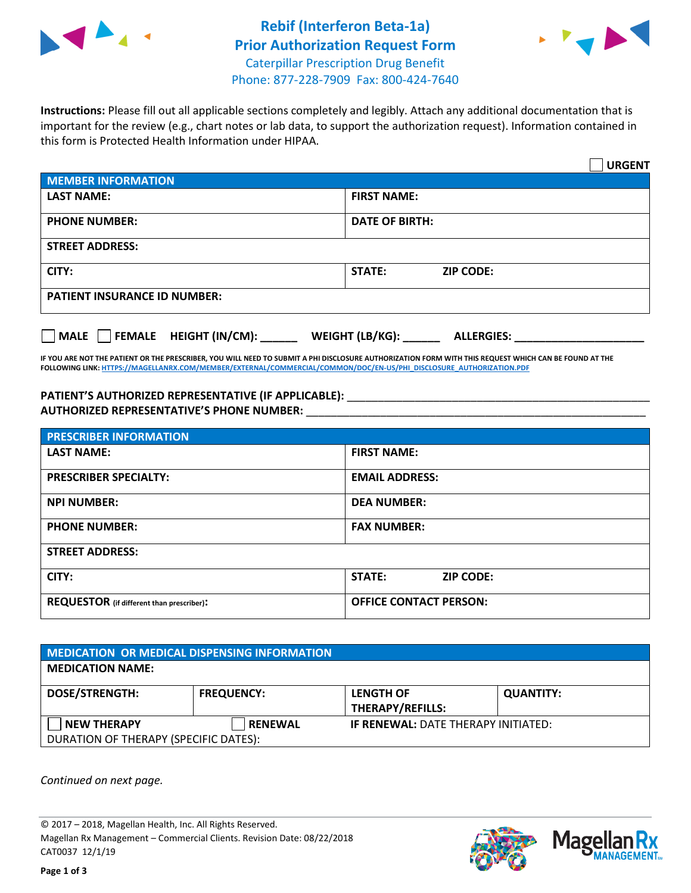

## **Rebif (Interferon Beta-1a) Prior Authorization Request Form** Caterpillar Prescription Drug Benefit Phone: 877-228-7909 Fax: 800-424-7640



**Instructions:** Please fill out all applicable sections completely and legibly. Attach any additional documentation that is important for the review (e.g., chart notes or lab data, to support the authorization request). Information contained in this form is Protected Health Information under HIPAA.

|                                       |                                        | <b>URGENT</b> |
|---------------------------------------|----------------------------------------|---------------|
| <b>MEMBER INFORMATION</b>             |                                        |               |
| <b>LAST NAME:</b>                     | <b>FIRST NAME:</b>                     |               |
| <b>PHONE NUMBER:</b>                  | <b>DATE OF BIRTH:</b>                  |               |
| <b>STREET ADDRESS:</b>                |                                        |               |
| CITY:                                 | STATE:<br><b>ZIP CODE:</b>             |               |
| <b>PATIENT INSURANCE ID NUMBER:</b>   |                                        |               |
| $\Box$ FEMALE HEIGHT (IN/CM):<br>MALE | WEIGHT (LB/KG): _<br><b>ALLERGIES:</b> |               |

**IF YOU ARE NOT THE PATIENT OR THE PRESCRIBER, YOU WILL NEED TO SUBMIT A PHI DISCLOSURE AUTHORIZATION FORM WITH THIS REQUEST WHICH CAN BE FOUND AT THE FOLLOWING LINK[: HTTPS://MAGELLANRX.COM/MEMBER/EXTERNAL/COMMERCIAL/COMMON/DOC/EN-US/PHI\\_DISCLOSURE\\_AUTHORIZATION.PDF](https://magellanrx.com/member/external/commercial/common/doc/en-us/PHI_Disclosure_Authorization.pdf)**

PATIENT'S AUTHORIZED REPRESENTATIVE (IF APPLICABLE): \_\_\_\_\_\_\_\_\_\_\_\_\_\_\_\_\_\_\_\_\_\_\_\_\_\_\_ **AUTHORIZED REPRESENTATIVE'S PHONE NUMBER:** \_\_\_\_\_\_\_\_\_\_\_\_\_\_\_\_\_\_\_\_\_\_\_\_\_\_\_\_\_\_\_\_\_\_\_\_\_\_\_\_\_\_\_\_\_\_\_\_\_\_\_\_\_\_\_

| <b>PRESCRIBER INFORMATION</b>             |                               |  |  |  |
|-------------------------------------------|-------------------------------|--|--|--|
| <b>LAST NAME:</b>                         | <b>FIRST NAME:</b>            |  |  |  |
| <b>PRESCRIBER SPECIALTY:</b>              | <b>EMAIL ADDRESS:</b>         |  |  |  |
| <b>NPI NUMBER:</b>                        | <b>DEA NUMBER:</b>            |  |  |  |
| <b>PHONE NUMBER:</b>                      | <b>FAX NUMBER:</b>            |  |  |  |
| <b>STREET ADDRESS:</b>                    |                               |  |  |  |
| CITY:                                     | STATE:<br><b>ZIP CODE:</b>    |  |  |  |
| REQUESTOR (if different than prescriber): | <b>OFFICE CONTACT PERSON:</b> |  |  |  |

| <b>MEDICATION OR MEDICAL DISPENSING INFORMATION</b> |                   |                                            |                  |  |  |
|-----------------------------------------------------|-------------------|--------------------------------------------|------------------|--|--|
| <b>MEDICATION NAME:</b>                             |                   |                                            |                  |  |  |
| <b>DOSE/STRENGTH:</b>                               | <b>FREQUENCY:</b> | <b>LENGTH OF</b>                           | <b>QUANTITY:</b> |  |  |
|                                                     |                   | <b>THERAPY/REFILLS:</b>                    |                  |  |  |
| <b>NEW THERAPY</b>                                  | <b>RENEWAL</b>    | <b>IF RENEWAL: DATE THERAPY INITIATED:</b> |                  |  |  |
| DURATION OF THERAPY (SPECIFIC DATES):               |                   |                                            |                  |  |  |

*Continued on next page.*

© 2017 – 2018, Magellan Health, Inc. All Rights Reserved. Magellan Rx Management – Commercial Clients. Revision Date: 08/22/2018 CAT0037 12/1/19



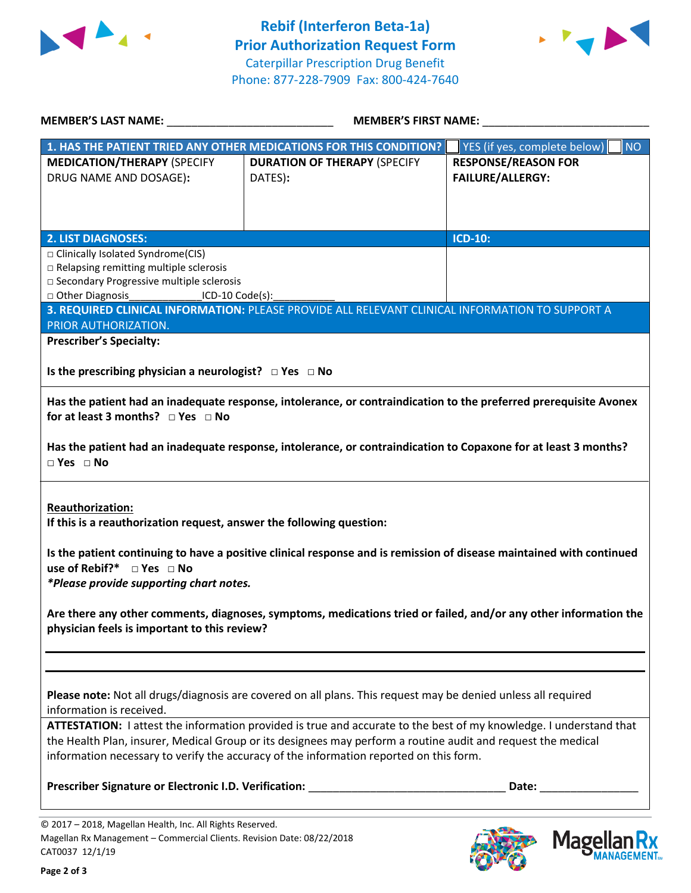



| <b>MEMBER'S LAST NAME:</b> NAME:                                                                                                                                                     | <b>MEMBER'S FIRST NAME:</b>                                                                                                                                                                                                                                                                                                  |                                                       |
|--------------------------------------------------------------------------------------------------------------------------------------------------------------------------------------|------------------------------------------------------------------------------------------------------------------------------------------------------------------------------------------------------------------------------------------------------------------------------------------------------------------------------|-------------------------------------------------------|
|                                                                                                                                                                                      | 1. HAS THE PATIENT TRIED ANY OTHER MEDICATIONS FOR THIS CONDITION?                                                                                                                                                                                                                                                           | YES (if yes, complete below)<br><b>NO</b>             |
| <b>MEDICATION/THERAPY (SPECIFY</b><br>DRUG NAME AND DOSAGE):                                                                                                                         | <b>DURATION OF THERAPY (SPECIFY</b><br>DATES):                                                                                                                                                                                                                                                                               | <b>RESPONSE/REASON FOR</b><br><b>FAILURE/ALLERGY:</b> |
| <b>2. LIST DIAGNOSES:</b>                                                                                                                                                            |                                                                                                                                                                                                                                                                                                                              | <b>ICD-10:</b>                                        |
| □ Clinically Isolated Syndrome(CIS)<br>□ Relapsing remitting multiple sclerosis<br>□ Secondary Progressive multiple sclerosis<br>□ Other Diagnosis __________________ICD-10 Code(s): | 3. REQUIRED CLINICAL INFORMATION: PLEASE PROVIDE ALL RELEVANT CLINICAL INFORMATION TO SUPPORT A                                                                                                                                                                                                                              |                                                       |
| PRIOR AUTHORIZATION.<br><b>Prescriber's Specialty:</b>                                                                                                                               |                                                                                                                                                                                                                                                                                                                              |                                                       |
| Is the prescribing physician a neurologist? $\Box$ Yes $\Box$ No                                                                                                                     |                                                                                                                                                                                                                                                                                                                              |                                                       |
| for at least 3 months? $\Box$ Yes $\Box$ No                                                                                                                                          | Has the patient had an inadequate response, intolerance, or contraindication to the preferred prerequisite Avonex                                                                                                                                                                                                            |                                                       |
| $\Box$ Yes $\Box$ No                                                                                                                                                                 | Has the patient had an inadequate response, intolerance, or contraindication to Copaxone for at least 3 months?                                                                                                                                                                                                              |                                                       |
| <b>Reauthorization:</b><br>If this is a reauthorization request, answer the following question:<br>use of Rebif?* $\Box$ Yes $\Box$ No                                               | Is the patient continuing to have a positive clinical response and is remission of disease maintained with continued                                                                                                                                                                                                         |                                                       |
| *Please provide supporting chart notes.                                                                                                                                              |                                                                                                                                                                                                                                                                                                                              |                                                       |
| physician feels is important to this review?                                                                                                                                         | Are there any other comments, diagnoses, symptoms, medications tried or failed, and/or any other information the                                                                                                                                                                                                             |                                                       |
|                                                                                                                                                                                      |                                                                                                                                                                                                                                                                                                                              |                                                       |
| information is received.                                                                                                                                                             | Please note: Not all drugs/diagnosis are covered on all plans. This request may be denied unless all required                                                                                                                                                                                                                |                                                       |
|                                                                                                                                                                                      | ATTESTATION: I attest the information provided is true and accurate to the best of my knowledge. I understand that<br>the Health Plan, insurer, Medical Group or its designees may perform a routine audit and request the medical<br>information necessary to verify the accuracy of the information reported on this form. |                                                       |
| Prescriber Signature or Electronic I.D. Verification:                                                                                                                                |                                                                                                                                                                                                                                                                                                                              | Date:                                                 |
| © 2017 - 2018, Magellan Health, Inc. All Rights Reserved.<br>Magellan Rx Management - Commercial Clients. Revision Date: 08/22/2018<br>CAT0037 12/1/19                               |                                                                                                                                                                                                                                                                                                                              | <b>Magellar</b>                                       |